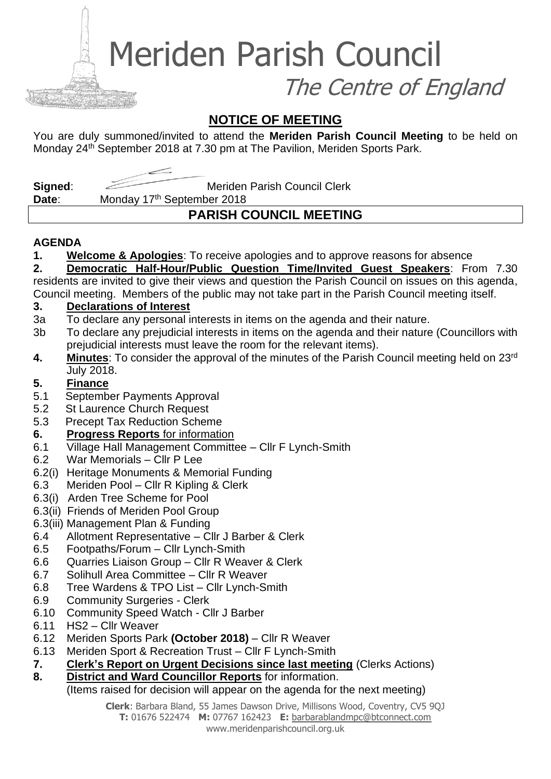Meriden Parish Council

The Centre of England

## **NOTICE OF MEETING**

You are duly summoned/invited to attend the **Meriden Parish Council Meeting** to be held on Monday 24<sup>th</sup> September 2018 at 7.30 pm at The Pavilion, Meriden Sports Park.

**Signed:** Meriden Parish Council Clerk

Date: Monday 17<sup>th</sup> September 2018

# **PARISH COUNCIL MEETING**

#### **AGENDA**

**1. Welcome & Apologies**: To receive apologies and to approve reasons for absence

**2. Democratic Half-Hour/Public Question Time/Invited Guest Speakers**: From 7.30 residents are invited to give their views and question the Parish Council on issues on this agenda,

Council meeting. Members of the public may not take part in the Parish Council meeting itself.

#### **3. Declarations of Interest**

- 3a To declare any personal interests in items on the agenda and their nature.
- 3b To declare any prejudicial interests in items on the agenda and their nature (Councillors with prejudicial interests must leave the room for the relevant items).
- **4. Minutes**: To consider the approval of the minutes of the Parish Council meeting held on 23rd July 2018.

#### **5. Finance**

- 5.1 September Payments Approval
- 5.2 St Laurence Church Request
- 5.3 Precept Tax Reduction Scheme
- **6. Progress Reports** for information
- 6.1 Village Hall Management Committee Cllr F Lynch-Smith
- 6.2 War Memorials Cllr P Lee
- 6.2(i) Heritage Monuments & Memorial Funding
- 6.3 Meriden Pool Cllr R Kipling & Clerk
- 6.3(i) Arden Tree Scheme for Pool
- 6.3(ii) Friends of Meriden Pool Group
- 6.3(iii) Management Plan & Funding
- 6.4 Allotment Representative Cllr J Barber & Clerk
- 6.5 Footpaths/Forum Cllr Lynch-Smith
- 6.6 Quarries Liaison Group Cllr R Weaver & Clerk
- 6.7 Solihull Area Committee Cllr R Weaver
- 6.8 Tree Wardens & TPO List Cllr Lynch-Smith
- 6.9 Community Surgeries Clerk
- 6.10 Community Speed Watch Cllr J Barber
- 6.11 HS2 Cllr Weaver
- 6.12 Meriden Sports Park **(October 2018)** Cllr R Weaver
- 6.13 Meriden Sport & Recreation Trust Cllr F Lynch-Smith
- **7. Clerk's Report on Urgent Decisions since last meeting** (Clerks Actions)
- **8. District and Ward Councillor Reports** for information.

#### (Items raised for decision will appear on the agenda for the next meeting)

**Clerk**: Barbara Bland, 55 James Dawson Drive, Millisons Wood, Coventry, CV5 9QJ **T:** 01676 522474 **M:** 07767 162423 **E:** [barbarablandmpc@btconnect.com](mailto:barbarablandmpc@btconnect.com) www.meridenparishcouncil.org.uk